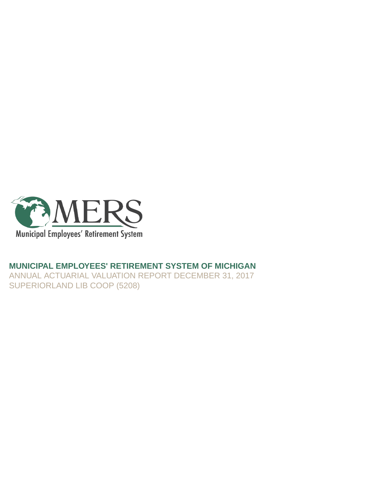

### **MUNICIPAL EMPLOYEES' RETIREMENT SYSTEM OF MICHIGAN**

ANNUAL ACTUARIAL VALUATION REPORT DECEMBER 31, 2017 SUPERIORLAND LIB COOP (5208)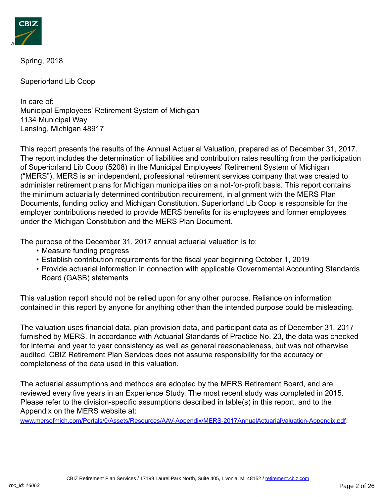

Spring, 2018

Superiorland Lib Coop

In care of: Municipal Employees' Retirement System of Michigan 1134 Municipal Way Lansing, Michigan 48917

This report presents the results of the Annual Actuarial Valuation, prepared as of December 31, 2017. The report includes the determination of liabilities and contribution rates resulting from the participation of Superiorland Lib Coop (5208) in the Municipal Employees' Retirement System of Michigan ("MERS"). MERS is an independent, professional retirement services company that was created to administer retirement plans for Michigan municipalities on a not-for-profit basis. This report contains the minimum actuarially determined contribution requirement, in alignment with the MERS Plan Documents, funding policy and Michigan Constitution. Superiorland Lib Coop is responsible for the employer contributions needed to provide MERS benefits for its employees and former employees under the Michigan Constitution and the MERS Plan Document.

The purpose of the December 31, 2017 annual actuarial valuation is to:

- Measure funding progress
- Establish contribution requirements for the fiscal year beginning October 1, 2019
- Provide actuarial information in connection with applicable Governmental Accounting Standards Board (GASB) statements

This valuation report should not be relied upon for any other purpose. Reliance on information contained in this report by anyone for anything other than the intended purpose could be misleading.

The valuation uses financial data, plan provision data, and participant data as of December 31, 2017 furnished by MERS. In accordance with Actuarial Standards of Practice No. 23, the data was checked for internal and year to year consistency as well as general reasonableness, but was not otherwise audited. CBIZ Retirement Plan Services does not assume responsibility for the accuracy or completeness of the data used in this valuation.

The actuarial assumptions and methods are adopted by the MERS Retirement Board, and are reviewed every five years in an Experience Study. The most recent study was completed in 2015. Please refer to the division-specific assumptions described in table(s) in this report, and to the Appendix on the MERS website at:

[www.mersofmich.com/Portals/0/Assets/Resources/AAV-Appendix/MERS-2017AnnualActuarialValuation-Appendix.pdf](http://www.mersofmich.com/Portals/0/Assets/Resources/AAV-Appendix/MERS-2017AnnualActuarialValuation-Appendix.pdf).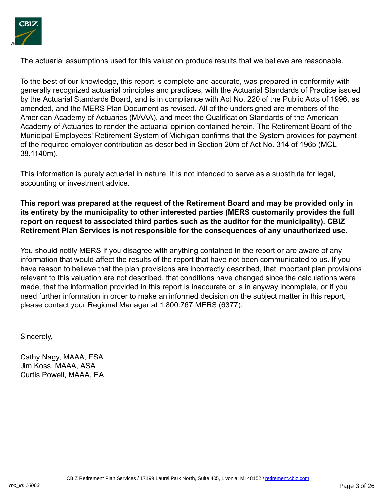

The actuarial assumptions used for this valuation produce results that we believe are reasonable.

To the best of our knowledge, this report is complete and accurate, was prepared in conformity with generally recognized actuarial principles and practices, with the Actuarial Standards of Practice issued by the Actuarial Standards Board, and is in compliance with Act No. 220 of the Public Acts of 1996, as amended, and the MERS Plan Document as revised. All of the undersigned are members of the American Academy of Actuaries (MAAA), and meet the Qualification Standards of the American Academy of Actuaries to render the actuarial opinion contained herein. The Retirement Board of the Municipal Employees' Retirement System of Michigan confirms that the System provides for payment of the required employer contribution as described in Section 20m of Act No. 314 of 1965 (MCL 38.1140m).

This information is purely actuarial in nature. It is not intended to serve as a substitute for legal, accounting or investment advice.

**This report was prepared at the request of the Retirement Board and may be provided only in its entirety by the municipality to other interested parties (MERS customarily provides the full report on request to associated third parties such as the auditor for the municipality). CBIZ Retirement Plan Services is not responsible for the consequences of any unauthorized use.**

You should notify MERS if you disagree with anything contained in the report or are aware of any information that would affect the results of the report that have not been communicated to us. If you have reason to believe that the plan provisions are incorrectly described, that important plan provisions relevant to this valuation are not described, that conditions have changed since the calculations were made, that the information provided in this report is inaccurate or is in anyway incomplete, or if you need further information in order to make an informed decision on the subject matter in this report, please contact your Regional Manager at 1.800.767.MERS (6377).

Sincerely,

Cathy Nagy, MAAA, FSA Jim Koss, MAAA, ASA Curtis Powell, MAAA, EA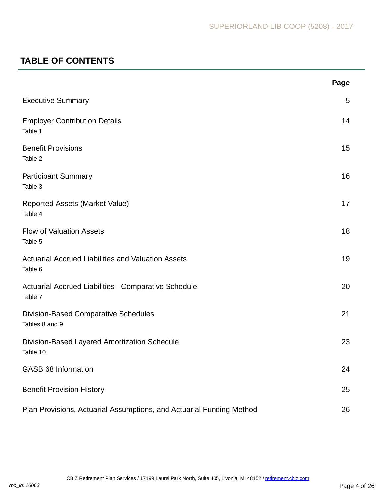# **TABLE OF CONTENTS**

|                                                                      | Page |
|----------------------------------------------------------------------|------|
| <b>Executive Summary</b>                                             | 5    |
| <b>Employer Contribution Details</b><br>Table 1                      | 14   |
| <b>Benefit Provisions</b><br>Table 2                                 | 15   |
| <b>Participant Summary</b><br>Table 3                                | 16   |
| <b>Reported Assets (Market Value)</b><br>Table 4                     | 17   |
| <b>Flow of Valuation Assets</b><br>Table 5                           | 18   |
| <b>Actuarial Accrued Liabilities and Valuation Assets</b><br>Table 6 | 19   |
| Actuarial Accrued Liabilities - Comparative Schedule<br>Table 7      | 20   |
| <b>Division-Based Comparative Schedules</b><br>Tables 8 and 9        | 21   |
| Division-Based Layered Amortization Schedule<br>Table 10             | 23   |
| <b>GASB 68 Information</b>                                           | 24   |
| <b>Benefit Provision History</b>                                     | 25   |
| Plan Provisions, Actuarial Assumptions, and Actuarial Funding Method | 26   |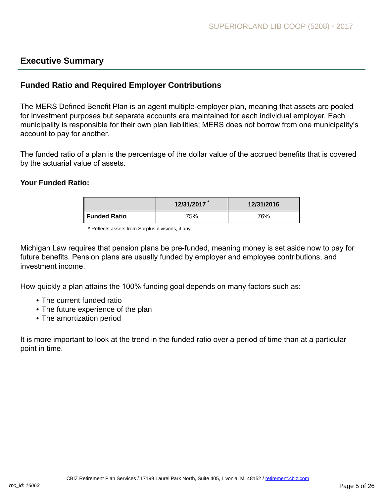### <span id="page-4-0"></span>**Executive Summary**

### **Funded Ratio and Required Employer Contributions**

The MERS Defined Benefit Plan is an agent multiple-employer plan, meaning that assets are pooled for investment purposes but separate accounts are maintained for each individual employer. Each municipality is responsible for their own plan liabilities; MERS does not borrow from one municipality's account to pay for another.

The funded ratio of a plan is the percentage of the dollar value of the accrued benefits that is covered by the actuarial value of assets.

#### **Your Funded Ratio:**

|                | 12/31/2017 | 12/31/2016 |
|----------------|------------|------------|
| l Funded Ratio | 75%        | 76%        |

<sup>\*</sup> Reflects assets from Surplus divisions, if any.

Michigan Law requires that pension plans be pre-funded, meaning money is set aside now to pay for future benefits. Pension plans are usually funded by employer and employee contributions, and investment income.

How quickly a plan attains the 100% funding goal depends on many factors such as:

- The current funded ratio
- The future experience of the plan
- The amortization period

It is more important to look at the trend in the funded ratio over a period of time than at a particular point in time.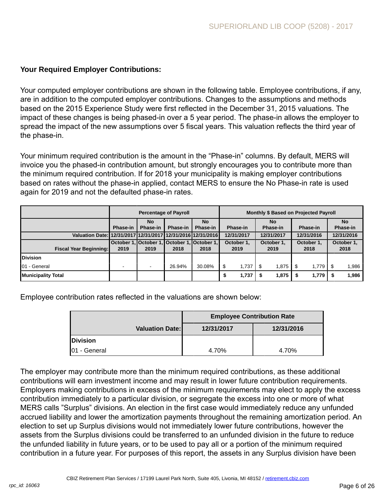### **Your Required Employer Contributions:**

Your computed employer contributions are shown in the following table. Employee contributions, if any, are in addition to the computed employer contributions. Changes to the assumptions and methods based on the 2015 Experience Study were first reflected in the December 31, 2015 valuations. The impact of these changes is being phased-in over a 5 year period. The phase-in allows the employer to spread the impact of the new assumptions over 5 fiscal years. This valuation reflects the third year of the phase-in.

Your minimum required contribution is the amount in the "Phase-in" columns. By default, MERS will invoice you the phased-in contribution amount, but strongly encourages you to contribute more than the minimum required contribution. If for 2018 your municipality is making employer contributions based on rates without the phase-in applied, contact MERS to ensure the No Phase-in rate is used again for 2019 and not the defaulted phase-in rates.

|                                                             |                |                          | <b>Percentage of Payroll</b> | <b>Monthly \$ Based on Projected Payroll</b> |                          |                                        |            |                 |            |          |      |            |
|-------------------------------------------------------------|----------------|--------------------------|------------------------------|----------------------------------------------|--------------------------|----------------------------------------|------------|-----------------|------------|----------|------|------------|
|                                                             |                | <b>No</b>                |                              | <b>No</b>                                    | <b>No</b>                |                                        |            |                 | <b>No</b>  |          |      |            |
|                                                             | Phase-in       | <b>Phase-in</b>          | Phase-in                     | Phase-in                                     |                          | <b>Phase-in</b>                        |            | <b>Phase-in</b> |            | Phase-in |      | Phase-in   |
| Valuation Date: 12/31/2017 12/31/2017 12/31/2016 12/31/2016 |                |                          |                              |                                              |                          | 12/31/2017<br>12/31/2017<br>12/31/2016 |            |                 |            |          |      | 12/31/2016 |
|                                                             |                |                          |                              | October 1. October 1. October 1. October 1.  | October 1,<br>October 1. |                                        | October 1. |                 | October 1, |          |      |            |
| <b>Fiscal Year Beginning:</b>                               | 2019           | 2019                     | 2018                         | 2018                                         |                          | 2019<br>2019                           |            |                 | 2018       |          | 2018 |            |
| <b>IDivision</b>                                            |                |                          |                              |                                              |                          |                                        |            |                 |            |          |      |            |
| 01 - General                                                | $\blacksquare$ | $\overline{\phantom{a}}$ | 26.94%                       | 30.08%                                       | \$                       | 1.737                                  | \$         | 1.875           |            | 1.779    | \$   | 1,986      |
| <b>Municipality Total</b>                                   |                |                          |                              |                                              | S                        | 1,737                                  |            | 1,875           |            | 1,779    | S    | 1,986      |

Employee contribution rates reflected in the valuations are shown below:

|                      |                        | <b>Employee Contribution Rate</b> |            |  |  |  |  |  |
|----------------------|------------------------|-----------------------------------|------------|--|--|--|--|--|
|                      | <b>Valuation Date:</b> | 12/31/2017                        | 12/31/2016 |  |  |  |  |  |
| <b>Division</b>      |                        |                                   |            |  |  |  |  |  |
| <b>101 - General</b> |                        | 4.70%                             | 4.70%      |  |  |  |  |  |

The employer may contribute more than the minimum required contributions, as these additional contributions will earn investment income and may result in lower future contribution requirements. Employers making contributions in excess of the minimum requirements may elect to apply the excess contribution immediately to a particular division, or segregate the excess into one or more of what MERS calls "Surplus" divisions. An election in the first case would immediately reduce any unfunded accrued liability and lower the amortization payments throughout the remaining amortization period. An election to set up Surplus divisions would not immediately lower future contributions, however the assets from the Surplus divisions could be transferred to an unfunded division in the future to reduce the unfunded liability in future years, or to be used to pay all or a portion of the minimum required contribution in a future year. For purposes of this report, the assets in any Surplus division have been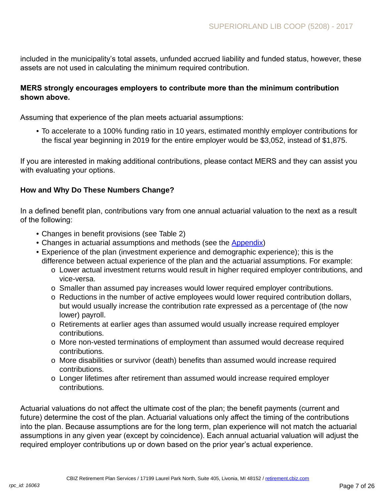included in the municipality's total assets, unfunded accrued liability and funded status, however, these assets are not used in calculating the minimum required contribution.

### **MERS strongly encourages employers to contribute more than the minimum contribution shown above.**

Assuming that experience of the plan meets actuarial assumptions:

• To accelerate to a 100% funding ratio in 10 years, estimated monthly employer contributions for the fiscal year beginning in 2019 for the entire employer would be \$3,052, instead of \$1,875.

If you are interested in making additional contributions, please contact MERS and they can assist you with evaluating your options.

### **How and Why Do These Numbers Change?**

In a defined benefit plan, contributions vary from one annual actuarial valuation to the next as a result of the following:

- Changes in benefit provisions (see Table 2)
- Changes in actuarial assumptions and methods (see the [Appendix](http://www.mersofmich.com/Portals/0/Assets/Resources/AAV-Appendix/MERS-2017AnnualActuarialValuation-Appendix.pdf))
- Experience of the plan (investment experience and demographic experience); this is the difference between actual experience of the plan and the actuarial assumptions. For example:
	- o Lower actual investment returns would result in higher required employer contributions, and vice-versa.
	- o Smaller than assumed pay increases would lower required employer contributions.
	- o Reductions in the number of active employees would lower required contribution dollars, but would usually increase the contribution rate expressed as a percentage of (the now lower) payroll.
	- o Retirements at earlier ages than assumed would usually increase required employer contributions.
	- o More non-vested terminations of employment than assumed would decrease required contributions.
	- o More disabilities or survivor (death) benefits than assumed would increase required contributions.
	- o Longer lifetimes after retirement than assumed would increase required employer contributions.

Actuarial valuations do not affect the ultimate cost of the plan; the benefit payments (current and future) determine the cost of the plan. Actuarial valuations only affect the timing of the contributions into the plan. Because assumptions are for the long term, plan experience will not match the actuarial assumptions in any given year (except by coincidence). Each annual actuarial valuation will adjust the required employer contributions up or down based on the prior year's actual experience.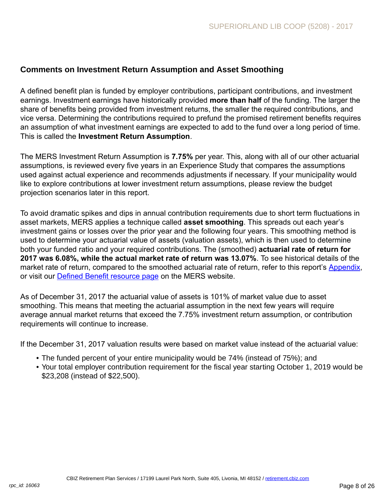### **Comments on Investment Return Assumption and Asset Smoothing**

A defined benefit plan is funded by employer contributions, participant contributions, and investment earnings. Investment earnings have historically provided **more than half** of the funding. The larger the share of benefits being provided from investment returns, the smaller the required contributions, and vice versa. Determining the contributions required to prefund the promised retirement benefits requires an assumption of what investment earnings are expected to add to the fund over a long period of time. This is called the **Investment Return Assumption**.

The MERS Investment Return Assumption is **7.75%** per year. This, along with all of our other actuarial assumptions, is reviewed every five years in an Experience Study that compares the assumptions used against actual experience and recommends adjustments if necessary. If your municipality would like to explore contributions at lower investment return assumptions, please review the budget projection scenarios later in this report.

To avoid dramatic spikes and dips in annual contribution requirements due to short term fluctuations in asset markets, MERS applies a technique called **asset smoothing**. This spreads out each year's investment gains or losses over the prior year and the following four years. This smoothing method is used to determine your actuarial value of assets (valuation assets), which is then used to determine both your funded ratio and your required contributions. The (smoothed) **actuarial rate of return for 2017 was 6.08%, while the actual market rate of return was 13.07%**. To see historical details of the market rate of return, compared to the smoothed actuarial rate of return, refer to this report's [Appendix,](http://www.mersofmich.com/Portals/0/Assets/Resources/AAV-Appendix/MERS-2017AnnualActuarialValuation-Appendix.pdf) or visit our **[Defined Benefit resource page](http://www.mersofmich.com/Employer/Programs/Defined-Benefit-Plan) on the MERS website.** 

As of December 31, 2017 the actuarial value of assets is 101% of market value due to asset smoothing. This means that meeting the actuarial assumption in the next few years will require average annual market returns that exceed the 7.75% investment return assumption, or contribution requirements will continue to increase.

If the December 31, 2017 valuation results were based on market value instead of the actuarial value:

- The funded percent of your entire municipality would be 74% (instead of 75%); and
- Your total employer contribution requirement for the fiscal year starting October 1, 2019 would be \$23,208 (instead of \$22,500).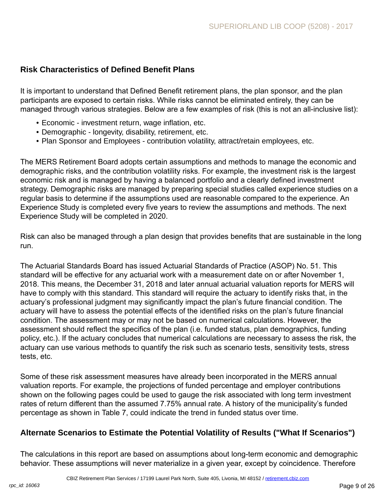### **Risk Characteristics of Defined Benefit Plans**

It is important to understand that Defined Benefit retirement plans, the plan sponsor, and the plan participants are exposed to certain risks. While risks cannot be eliminated entirely, they can be managed through various strategies. Below are a few examples of risk (this is not an all-inclusive list):

- Economic investment return, wage inflation, etc.
- Demographic longevity, disability, retirement, etc.
- Plan Sponsor and Employees contribution volatility, attract/retain employees, etc.

The MERS Retirement Board adopts certain assumptions and methods to manage the economic and demographic risks, and the contribution volatility risks. For example, the investment risk is the largest economic risk and is managed by having a balanced portfolio and a clearly defined investment strategy. Demographic risks are managed by preparing special studies called experience studies on a regular basis to determine if the assumptions used are reasonable compared to the experience. An Experience Study is completed every five years to review the assumptions and methods. The next Experience Study will be completed in 2020.

Risk can also be managed through a plan design that provides benefits that are sustainable in the long run.

The Actuarial Standards Board has issued Actuarial Standards of Practice (ASOP) No. 51. This standard will be effective for any actuarial work with a measurement date on or after November 1, 2018. This means, the December 31, 2018 and later annual actuarial valuation reports for MERS will have to comply with this standard. This standard will require the actuary to identify risks that, in the actuary's professional judgment may significantly impact the plan's future financial condition. The actuary will have to assess the potential effects of the identified risks on the plan's future financial condition. The assessment may or may not be based on numerical calculations. However, the assessment should reflect the specifics of the plan (i.e. funded status, plan demographics, funding policy, etc.). If the actuary concludes that numerical calculations are necessary to assess the risk, the actuary can use various methods to quantify the risk such as scenario tests, sensitivity tests, stress tests, etc.

Some of these risk assessment measures have already been incorporated in the MERS annual valuation reports. For example, the projections of funded percentage and employer contributions shown on the following pages could be used to gauge the risk associated with long term investment rates of return different than the assumed 7.75% annual rate. A history of the municipality's funded percentage as shown in Table 7, could indicate the trend in funded status over time.

### **Alternate Scenarios to Estimate the Potential Volatility of Results ("What If Scenarios")**

The calculations in this report are based on assumptions about long-term economic and demographic behavior. These assumptions will never materialize in a given year, except by coincidence. Therefore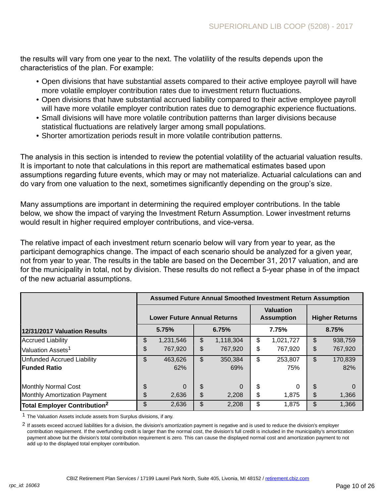the results will vary from one year to the next. The volatility of the results depends upon the characteristics of the plan. For example:

- Open divisions that have substantial assets compared to their active employee payroll will have more volatile employer contribution rates due to investment return fluctuations.
- Open divisions that have substantial accrued liability compared to their active employee payroll will have more volatile employer contribution rates due to demographic experience fluctuations.
- Small divisions will have more volatile contribution patterns than larger divisions because statistical fluctuations are relatively larger among small populations.
- Shorter amortization periods result in more volatile contribution patterns.

The analysis in this section is intended to review the potential volatility of the actuarial valuation results. It is important to note that calculations in this report are mathematical estimates based upon assumptions regarding future events, which may or may not materialize. Actuarial calculations can and do vary from one valuation to the next, sometimes significantly depending on the group's size.

Many assumptions are important in determining the required employer contributions. In the table below, we show the impact of varying the Investment Return Assumption. Lower investment returns would result in higher required employer contributions, and vice-versa.

The relative impact of each investment return scenario below will vary from year to year, as the participant demographics change. The impact of each scenario should be analyzed for a given year, not from year to year. The results in the table are based on the December 31, 2017 valuation, and are for the municipality in total, not by division. These results do not reflect a 5-year phase in of the impact of the new actuarial assumptions.

|                                          | <b>Assumed Future Annual Smoothed Investment Return Assumption</b> |                                    |       |           |                                       |                       |    |          |  |  |  |
|------------------------------------------|--------------------------------------------------------------------|------------------------------------|-------|-----------|---------------------------------------|-----------------------|----|----------|--|--|--|
|                                          |                                                                    | <b>Lower Future Annual Returns</b> |       |           | <b>Valuation</b><br><b>Assumption</b> | <b>Higher Returns</b> |    |          |  |  |  |
| 12/31/2017 Valuation Results             |                                                                    | 5.75%                              | 6.75% |           | 7.75%                                 | 8.75%                 |    |          |  |  |  |
| <b>Accrued Liability</b>                 | \$                                                                 | 1,231,546                          | \$    | 1,118,304 | \$                                    | 1,021,727             | \$ | 938,759  |  |  |  |
| Valuation Assets <sup>1</sup>            | \$                                                                 | 767,920                            | \$    | 767,920   | \$                                    | 767,920               | \$ | 767,920  |  |  |  |
| Unfunded Accrued Liability               | \$                                                                 | 463,626                            | \$    | 350,384   | \$                                    | 253,807               | \$ | 170,839  |  |  |  |
| <b>IFunded Ratio</b>                     |                                                                    | 62%                                |       | 69%       |                                       | 75%                   |    | 82%      |  |  |  |
| Monthly Normal Cost                      | \$                                                                 | $\Omega$                           | \$    | 0         | \$                                    | 0                     | \$ | $\Omega$ |  |  |  |
| Monthly Amortization Payment             | \$                                                                 | 2,636                              | \$    | 2,208     | \$                                    | 1,875                 | \$ | 1,366    |  |  |  |
| Total Employer Contribution <sup>2</sup> | \$                                                                 | 2,636                              | \$    | 2,208     | \$                                    | 1,875                 | \$ | 1,366    |  |  |  |

<sup>1</sup> The Valuation Assets include assets from Surplus divisions, if any.

 $2$  If assets exceed accrued liabilities for a division, the division's amortization payment is negative and is used to reduce the division's employer contribution requirement. If the overfunding credit is larger than the normal cost, the division's full credit is included in the municipality's amortization payment above but the division's total contribution requirement is zero. This can cause the displayed normal cost and amortization payment to not add up to the displayed total employer contribution.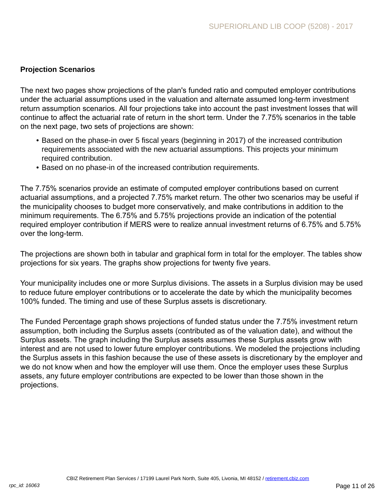### **Projection Scenarios**

The next two pages show projections of the plan's funded ratio and computed employer contributions under the actuarial assumptions used in the valuation and alternate assumed long-term investment return assumption scenarios. All four projections take into account the past investment losses that will continue to affect the actuarial rate of return in the short term. Under the 7.75% scenarios in the table on the next page, two sets of projections are shown:

- Based on the phase-in over 5 fiscal years (beginning in 2017) of the increased contribution requirements associated with the new actuarial assumptions. This projects your minimum required contribution.
- Based on no phase-in of the increased contribution requirements.

The 7.75% scenarios provide an estimate of computed employer contributions based on current actuarial assumptions, and a projected 7.75% market return. The other two scenarios may be useful if the municipality chooses to budget more conservatively, and make contributions in addition to the minimum requirements. The 6.75% and 5.75% projections provide an indication of the potential required employer contribution if MERS were to realize annual investment returns of 6.75% and 5.75% over the long-term.

The projections are shown both in tabular and graphical form in total for the employer. The tables show projections for six years. The graphs show projections for twenty five years.

Your municipality includes one or more Surplus divisions. The assets in a Surplus division may be used to reduce future employer contributions or to accelerate the date by which the municipality becomes 100% funded. The timing and use of these Surplus assets is discretionary.

The Funded Percentage graph shows projections of funded status under the 7.75% investment return assumption, both including the Surplus assets (contributed as of the valuation date), and without the Surplus assets. The graph including the Surplus assets assumes these Surplus assets grow with interest and are not used to lower future employer contributions. We modeled the projections including the Surplus assets in this fashion because the use of these assets is discretionary by the employer and we do not know when and how the employer will use them. Once the employer uses these Surplus assets, any future employer contributions are expected to be lower than those shown in the projections.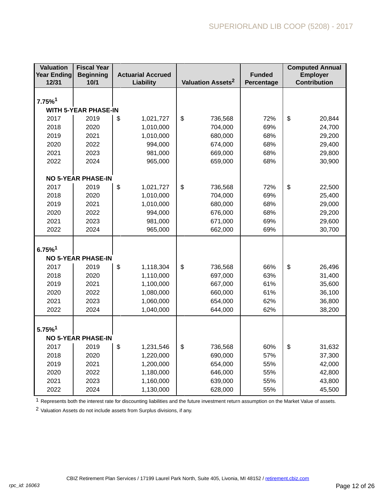| <b>Valuation</b><br><b>Year Ending</b> | <b>Fiscal Year</b><br><b>Beginning</b><br><b>Actuarial Accrued</b> |                        |                               | <b>Funded</b> | <b>Computed Annual</b><br><b>Employer</b> |
|----------------------------------------|--------------------------------------------------------------------|------------------------|-------------------------------|---------------|-------------------------------------------|
| 12/31                                  | 10/1                                                               | Liability              | Valuation Assets <sup>2</sup> | Percentage    | <b>Contribution</b>                       |
|                                        |                                                                    |                        |                               |               |                                           |
| $7.75\%$ <sup>1</sup>                  |                                                                    |                        |                               |               |                                           |
|                                        | <b>WITH 5-YEAR PHASE-IN</b>                                        |                        |                               |               |                                           |
| 2017                                   | 2019                                                               | \$<br>1,021,727        | \$<br>736,568                 | 72%           | \$<br>20,844                              |
| 2018                                   | 2020                                                               | 1,010,000              | 704,000                       | 69%           | 24,700                                    |
| 2019                                   | 2021                                                               | 1,010,000              | 680,000                       | 68%           | 29,200                                    |
| 2020                                   | 2022                                                               | 994,000                | 674,000                       | 68%           | 29,400                                    |
| 2021                                   | 2023                                                               | 981,000                | 669,000                       | 68%           | 29,800                                    |
| 2022                                   | 2024                                                               | 965,000                | 659,000                       | 68%           | 30,900                                    |
|                                        |                                                                    |                        |                               |               |                                           |
|                                        | <b>NO 5-YEAR PHASE-IN</b>                                          |                        |                               |               |                                           |
| 2017                                   | 2019                                                               | \$<br>1,021,727        | \$<br>736,568                 | 72%           | \$<br>22,500                              |
| 2018                                   | 2020                                                               | 1,010,000              | 704,000                       | 69%           | 25,400                                    |
| 2019                                   | 2021                                                               | 1,010,000              | 680,000                       | 68%           | 29,000                                    |
| 2020                                   | 2022                                                               | 994,000                | 676,000                       | 68%           | 29,200                                    |
| 2021                                   | 2023                                                               | 981,000                | 671,000                       | 69%           | 29,600                                    |
| 2022                                   | 2024                                                               | 965,000                | 662,000                       | 69%           | 30,700                                    |
|                                        |                                                                    |                        |                               |               |                                           |
| $6.75\%$ <sup>1</sup>                  |                                                                    |                        |                               |               |                                           |
| 2017                                   | <b>NO 5-YEAR PHASE-IN</b><br>2019                                  |                        | \$                            | 66%           | \$                                        |
| 2018                                   | 2020                                                               | \$<br>1,118,304        | 736,568<br>697,000            | 63%           | 26,496<br>31,400                          |
| 2019                                   | 2021                                                               | 1,110,000<br>1,100,000 | 667,000                       | 61%           | 35,600                                    |
| 2020                                   | 2022                                                               | 1,080,000              | 660,000                       | 61%           | 36,100                                    |
| 2021                                   | 2023                                                               | 1,060,000              | 654,000                       | 62%           | 36,800                                    |
| 2022                                   | 2024                                                               | 1,040,000              | 644,000                       | 62%           | 38,200                                    |
|                                        |                                                                    |                        |                               |               |                                           |
|                                        |                                                                    |                        |                               |               |                                           |
| $5.75\%$ <sup>1</sup>                  |                                                                    |                        |                               |               |                                           |
|                                        | <b>NO 5-YEAR PHASE-IN</b>                                          |                        |                               |               |                                           |
| 2017                                   | 2019                                                               | \$<br>1,231,546        | \$<br>736,568                 | 60%           | \$<br>31,632                              |
| 2018                                   | 2020                                                               | 1,220,000              | 690,000                       | 57%           | 37,300                                    |
| 2019                                   | 2021                                                               | 1,200,000              | 654,000                       | 55%           | 42,000                                    |
| 2020                                   | 2022                                                               | 1,180,000              | 646,000                       | 55%           | 42,800                                    |
| 2021                                   | 2023                                                               | 1,160,000              | 639,000                       | 55%           | 43,800                                    |
| 2022                                   | 2024                                                               | 1,130,000              | 628,000                       | 55%           | 45,500                                    |

1 Represents both the interest rate for discounting liabilities and the future investment return assumption on the Market Value of assets.

2 Valuation Assets do not include assets from Surplus divisions, if any.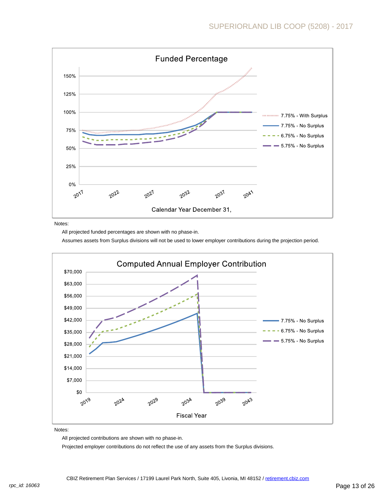

Notes:

All projected funded percentages are shown with no phase-in.

Assumes assets from Surplus divisions will not be used to lower employer contributions during the projection period.



Notes:

All projected contributions are shown with no phase-in.

Projected employer contributions do not reflect the use of any assets from the Surplus divisions.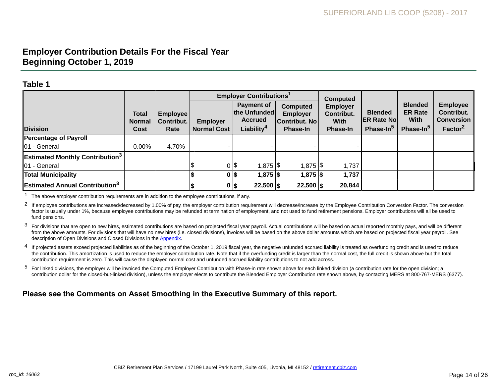## **Employer Contribution Details For the Fiscal Year Beginning October 1, 2019**

#### **Table 1**

|                                                    |                                       |                                       |                                       | <b>Employer Contributions<sup>1</sup></b>                              |                                                                 | <b>Computed</b>                                                 |                                                              |                                                                   |                                                                           |
|----------------------------------------------------|---------------------------------------|---------------------------------------|---------------------------------------|------------------------------------------------------------------------|-----------------------------------------------------------------|-----------------------------------------------------------------|--------------------------------------------------------------|-------------------------------------------------------------------|---------------------------------------------------------------------------|
| <b>Division</b>                                    | <b>Total</b><br><b>Normal</b><br>Cost | <b>Employee</b><br>Contribut.<br>Rate | <b>Employer</b><br><b>Normal Cost</b> | Payment of<br>the Unfunded<br><b>Accrued</b><br>Liability <sup>4</sup> | Computed<br><b>Employer</b><br>Contribut. No<br><b>Phase-In</b> | <b>Employer</b><br>Contribut.<br><b>With</b><br><b>Phase-In</b> | <b>Blended</b><br><b>ER Rate No</b><br>Phase-In <sup>5</sup> | <b>Blended</b><br><b>ER Rate</b><br>With<br>Phase-In <sup>5</sup> | <b>Employee</b><br>Contribut.<br><b>Conversion</b><br>Factor <sup>2</sup> |
| <b>Percentage of Payroll</b>                       |                                       |                                       |                                       |                                                                        |                                                                 |                                                                 |                                                              |                                                                   |                                                                           |
| 01 - General                                       | $0.00\%$                              | 4.70%                                 |                                       |                                                                        |                                                                 |                                                                 |                                                              |                                                                   |                                                                           |
| <b>Estimated Monthly Contribution</b> <sup>3</sup> |                                       |                                       |                                       |                                                                        |                                                                 |                                                                 |                                                              |                                                                   |                                                                           |
| 01 - General                                       |                                       |                                       |                                       | $0$  \$<br>1,875  \$                                                   | $1,875$ $\frac{1}{9}$                                           | 1,737                                                           |                                                              |                                                                   |                                                                           |
| <b>Total Municipality</b>                          |                                       |                                       |                                       | 1,875 \$<br>$0$  \$                                                    | $1,875$ \$                                                      | 1,737                                                           |                                                              |                                                                   |                                                                           |
| <b>Estimated Annual Contribution</b> <sup>3</sup>  |                                       |                                       | 0 \$                                  | $22,500$  \$                                                           | $22,500$  \$                                                    | 20,844                                                          |                                                              |                                                                   |                                                                           |

 $1$  The above employer contribution requirements are in addition to the employee contributions, if any.

<sup>2</sup> If emplovee contributions are increased/decreased by 1.00% of pay, the employer contribution requirement will decrease/increase by the Employee Contribution Conversion Factor. The conversion factor is usually under 1%, because employee contributions may be refunded at termination of employment, and not used to fund retirement pensions. Employer contributions will all be used to fund pensions.

<sup>3</sup> For divisions that are open to new hires, estimated contributions are based on projected fiscal year payroll. Actual contributions will be based on actual reported monthly pays, and will be different from the above amounts. For divisions that will have no new hires (i.e. closed divisions), invoices will be based on the above dollar amounts which are based on projected fiscal year payroll. See description of Open Divisions and Closed Divisions in the [Appendix](http://www.mersofmich.com/Portals/0/Assets/Resources/AAV-Appendix/MERS-2017AnnualActuarialValuation-Appendix.pdf).

4 If projected assets exceed projected liabilities as of the beginning of the October 1, 2019 fiscal year, the negative unfunded accrued liability is treated as overfunding credit and is used to reduce the contribution. This amortization is used to reduce the employer contribution rate. Note that if the overfunding credit is larger than the normal cost, the full credit is shown above but the total contribution requirement is zero. This will cause the displayed normal cost and unfunded accrued liability contributions to not add across.

<sup>5</sup> For linked divisions, the employer will be invoiced the Computed Employer Contribution with Phase-in rate shown above for each linked division (a contribution rate for the open division; a contribution dollar for the closed-but-linked division), unless the employer elects to contribute the Blended Employer Contribution rate shown above, by contacting MERS at 800-767-MERS (6377).

### **Please see the Comments on Asset Smoothing in the Executive Summary of this report.**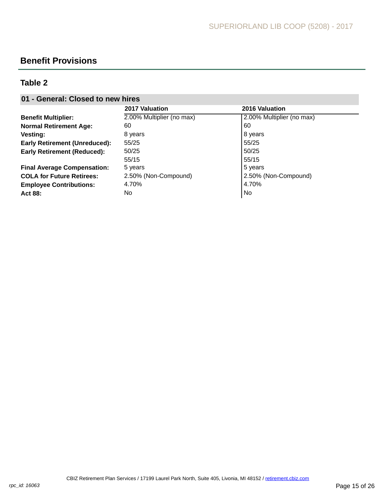# **Benefit Provisions**

### **Table 2**

### **01 - General: Closed to new hires**

|                                      | 2017 Valuation            | <b>2016 Valuation</b>     |
|--------------------------------------|---------------------------|---------------------------|
| <b>Benefit Multiplier:</b>           | 2.00% Multiplier (no max) | 2.00% Multiplier (no max) |
| <b>Normal Retirement Age:</b>        | 60                        | 60                        |
| <b>Vesting:</b>                      | 8 years                   | 8 years                   |
| <b>Early Retirement (Unreduced):</b> | 55/25                     | 55/25                     |
| <b>Early Retirement (Reduced):</b>   | 50/25                     | 50/25                     |
|                                      | 55/15                     | 55/15                     |
| <b>Final Average Compensation:</b>   | 5 years                   | 5 years                   |
| <b>COLA for Future Retirees:</b>     | 2.50% (Non-Compound)      | 2.50% (Non-Compound)      |
| <b>Employee Contributions:</b>       | 4.70%                     | 4.70%                     |
| Act 88:                              | No                        | <b>No</b>                 |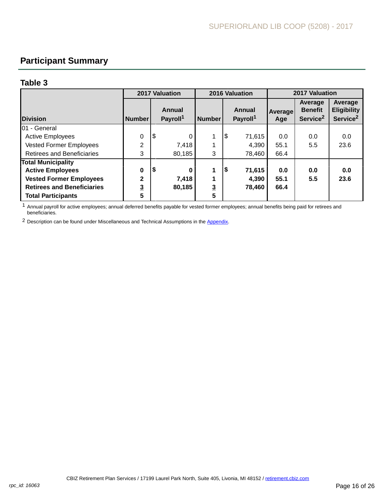# **Participant Summary**

#### **Table 3**

|                                   | <b>2017 Valuation</b> |     |                                |                | 2016 Valuation                        | 2017 Valuation |                                                   |                                                       |  |
|-----------------------------------|-----------------------|-----|--------------------------------|----------------|---------------------------------------|----------------|---------------------------------------------------|-------------------------------------------------------|--|
| <b>Division</b>                   | <b>Number</b>         |     | Annual<br>Payroll <sup>1</sup> | <b>Number</b>  | <b>Annual</b><br>Payroll <sup>1</sup> | Average<br>Age | Average<br><b>Benefit</b><br>Service <sup>2</sup> | Average<br><b>Eligibility</b><br>Service <sup>2</sup> |  |
| 101 - General                     |                       |     |                                |                |                                       |                |                                                   |                                                       |  |
| <b>Active Employees</b>           | 0                     | 1\$ | 0                              | 4              | \$<br>71,615                          | 0.0            | 0.0                                               | 0.0                                                   |  |
| Vested Former Employees           | $\overline{2}$        |     | 7,418                          |                | 4,390                                 | 55.1           | 5.5                                               | 23.6                                                  |  |
| <b>Retirees and Beneficiaries</b> | 3                     |     | 80,185                         | 3              | 78,460                                | 66.4           |                                                   |                                                       |  |
| <b>Total Municipality</b>         |                       |     |                                |                |                                       |                |                                                   |                                                       |  |
| <b>Active Employees</b>           | 0                     | \$  | 0                              | 1              | \$<br>71,615                          | 0.0            | 0.0                                               | 0.0                                                   |  |
| <b>Vested Former Employees</b>    | $\overline{2}$        |     | 7.418                          | 1              | 4,390                                 | 55.1           | 5.5                                               | 23.6                                                  |  |
| <b>Retirees and Beneficiaries</b> | $\overline{3}$        |     | 80,185                         | $\overline{3}$ | 78,460                                | 66.4           |                                                   |                                                       |  |
| <b>Total Participants</b>         | 5                     |     |                                | 5              |                                       |                |                                                   |                                                       |  |

1 Annual payroll for active employees; annual deferred benefits payable for vested former employees; annual benefits being paid for retirees and beneficiaries.

<sup>2</sup> Description can be found under Miscellaneous and Technical Assumptions in the [Appendix.](http://www.mersofmich.com/Portals/0/Assets/Resources/AAV-Appendix/MERS-2017AnnualActuarialValuation-Appendix.pdf)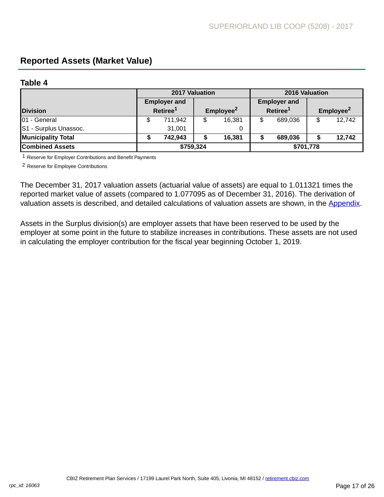# <span id="page-16-0"></span>**Reported Assets (Market Value)**

#### **Table 4**

|                           | 2017 Valuation       |                     |                       |        |                      | 2016 Valuation      |                       |        |  |  |
|---------------------------|----------------------|---------------------|-----------------------|--------|----------------------|---------------------|-----------------------|--------|--|--|
|                           |                      | <b>Employer and</b> |                       |        |                      | <b>Employer and</b> |                       |        |  |  |
| <b>Division</b>           | Retiree <sup>1</sup> |                     | Employee <sup>2</sup> |        | Retiree <sup>1</sup> |                     | Employee <sup>2</sup> |        |  |  |
| 01 - General              |                      | 711,942             | \$                    | 16,381 |                      | 689,036             |                       | 12,742 |  |  |
| S1 - Surplus Unassoc.     |                      | 31,001              |                       | 0      |                      |                     |                       |        |  |  |
| <b>Municipality Total</b> |                      | 742,943             | \$                    | 16,381 |                      | 689,036             |                       | 12,742 |  |  |
| <b>Combined Assets</b>    | \$759,324            |                     |                       |        | \$701,778            |                     |                       |        |  |  |

1 Reserve for Employer Contributions and Benefit Payments

2 Reserve for Employee Contributions

The December 31, 2017 valuation assets (actuarial value of assets) are equal to 1.011321 times the reported market value of assets (compared to 1.077095 as of December 31, 2016). The derivation of valuation assets is described, and detailed calculations of valuation assets are shown, in the [Appendix](http://www.mersofmich.com/Portals/0/Assets/Resources/AAV-Appendix/MERS-2017AnnualActuarialValuation-Appendix.pdf).

Assets in the Surplus division(s) are employer assets that have been reserved to be used by the employer at some point in the future to stabilize increases in contributions. These assets are not used in calculating the employer contribution for the fiscal year beginning October 1, 2019.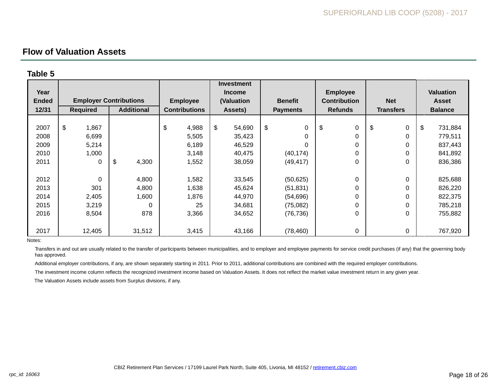### **Flow of Valuation Assets**

### **Table 5**

|              |                               |                   |                      | <b>Investment</b> |                   |                     |                  |                  |  |
|--------------|-------------------------------|-------------------|----------------------|-------------------|-------------------|---------------------|------------------|------------------|--|
| Year         |                               |                   |                      | <b>Income</b>     |                   | <b>Employee</b>     |                  | <b>Valuation</b> |  |
| <b>Ended</b> | <b>Employer Contributions</b> |                   | <b>Employee</b>      | (Valuation        | <b>Benefit</b>    | <b>Contribution</b> | <b>Net</b>       | <b>Asset</b>     |  |
| 12/31        | <b>Required</b>               | <b>Additional</b> | <b>Contributions</b> | Assets)           | <b>Payments</b>   |                     | <b>Transfers</b> | <b>Balance</b>   |  |
|              |                               |                   |                      |                   |                   |                     |                  |                  |  |
| 2007         | $\$\$<br>1,867                |                   | \$<br>4,988          | \$<br>54,690      | \$<br>$\mathbf 0$ | \$<br>0             | \$<br>0          | \$<br>731,884    |  |
| 2008         | 6,699                         |                   | 5,505                | 35,423            | $\Omega$          | 0                   | 0                | 779,511          |  |
| 2009         | 5,214                         |                   | 6,189                | 46,529            | $\Omega$          | 0                   | 0                | 837,443          |  |
| 2010         | 1,000                         |                   | 3,148                | 40,475            | (40, 174)         | 0                   | 0                | 841,892          |  |
| 2011         | 0                             | \$<br>4,300       | 1,552                | 38,059            | (49, 417)         | 0                   | 0                | 836,386          |  |
|              |                               |                   |                      |                   |                   |                     |                  |                  |  |
| 2012         | $\mathbf 0$                   | 4,800             | 1,582                | 33,545            | (50, 625)         | 0                   | 0                | 825,688          |  |
| 2013         | 301                           | 4,800             | 1,638                | 45,624            | (51, 831)         | 0                   | 0                | 826,220          |  |
| 2014         | 2,405                         | 1,600             | 1,876                | 44,970            | (54, 696)         | 0                   | 0                | 822,375          |  |
| 2015         | 3,219                         |                   | 25                   | 34,681            | (75,082)          | 0                   | 0                | 785,218          |  |
| 2016         | 8,504                         | 878               | 3,366                | 34,652            | (76, 736)         | 0                   | 0                | 755,882          |  |
|              |                               |                   |                      |                   |                   |                     |                  |                  |  |
| 2017         | 12,405                        | 31,512            | 3,415                | 43,166            | (78, 460)         | 0                   | $\pmb{0}$        | 767,920          |  |

Notes:

Transfers in and out are usually related to the transfer of participants between municipalities, and to employer and employee payments for service credit purchases (if any) that the governing body has approved.

Additional employer contributions, if any, are shown separately starting in 2011. Prior to 2011, additional contributions are combined with the required employer contributions.

The investment income column reflects the recognized investment income based on Valuation Assets. It does not reflect the market value investment return in any given year.

The Valuation Assets include assets from Surplus divisions, if any.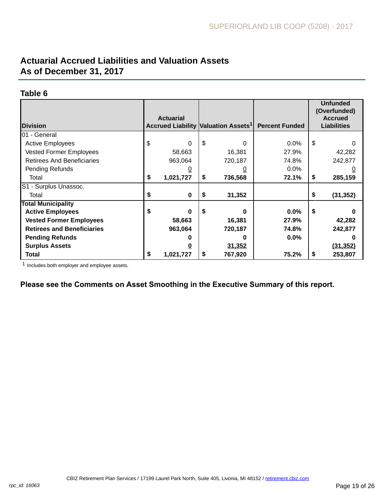# **Actuarial Accrued Liabilities and Valuation Assets As of December 31, 2017**

#### **Table 6**

|                                   |    |                  |                                                 |         |                       | <b>Unfunded</b><br>(Overfunded) |           |
|-----------------------------------|----|------------------|-------------------------------------------------|---------|-----------------------|---------------------------------|-----------|
|                                   |    | <b>Actuarial</b> |                                                 |         |                       | <b>Accrued</b>                  |           |
| <b>IDivision</b>                  |    |                  | Accrued Liability Valuation Assets <sup>1</sup> |         | <b>Percent Funded</b> | <b>Liabilities</b>              |           |
| <b>I</b> 01 - General             |    |                  |                                                 |         |                       |                                 |           |
| <b>Active Employees</b>           | \$ | 0                | \$                                              | 0       | $0.0\%$               | \$                              | 0         |
| <b>Vested Former Employees</b>    |    | 58,663           |                                                 | 16,381  | 27.9%                 |                                 | 42,282    |
| <b>Retirees And Beneficiaries</b> |    | 963,064          |                                                 | 720,187 | 74.8%                 |                                 | 242,877   |
| Pending Refunds                   |    | <u>0</u>         |                                                 |         | $0.0\%$               |                                 | 0         |
| Total                             | \$ | 1,021,727        | \$                                              | 736,568 | 72.1%                 | \$                              | 285,159   |
| S1 - Surplus Unassoc.             |    |                  |                                                 |         |                       |                                 |           |
| Total                             | \$ | $\bf{0}$         | \$                                              | 31,352  |                       | \$                              | (31, 352) |
| <b>Total Municipality</b>         |    |                  |                                                 |         |                       |                                 |           |
| <b>Active Employees</b>           | \$ | O                | \$                                              | 0       | 0.0%                  | \$                              |           |
| <b>Vested Former Employees</b>    |    | 58,663           |                                                 | 16,381  | 27.9%                 |                                 | 42,282    |
| <b>Retirees and Beneficiaries</b> |    | 963,064          |                                                 | 720,187 | 74.8%                 |                                 | 242,877   |
| <b>Pending Refunds</b>            |    |                  |                                                 | 0       | $0.0\%$               |                                 | O         |
| <b>Surplus Assets</b>             |    | 0                |                                                 | 31,352  |                       |                                 | (31, 352) |
| Total                             | \$ | 1,021,727        | \$                                              | 767,920 | 75.2%                 | \$                              | 253,807   |

1 Includes both employer and employee assets.

**Please see the Comments on Asset Smoothing in the Executive Summary of this report.**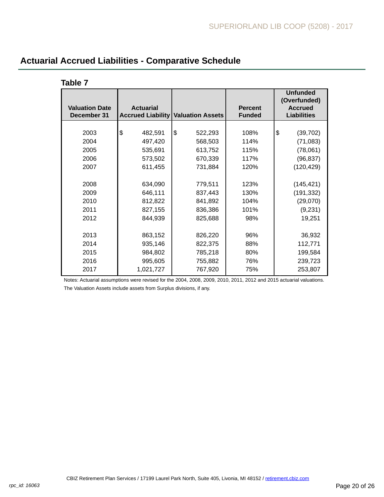| <b>Valuation Date</b><br>December 31 | <b>Actuarial</b><br><b>Accrued Liability</b> | <b>Valuation Assets</b> | <b>Percent</b><br><b>Funded</b> | <b>Unfunded</b><br>(Overfunded)<br><b>Accrued</b><br><b>Liabilities</b> |
|--------------------------------------|----------------------------------------------|-------------------------|---------------------------------|-------------------------------------------------------------------------|
|                                      |                                              |                         |                                 |                                                                         |
| 2003                                 | \$<br>482,591                                | \$<br>522,293           | 108%                            | \$<br>(39, 702)                                                         |
| 2004                                 | 497,420                                      | 568,503                 | 114%                            | (71, 083)                                                               |
| 2005                                 | 535,691                                      | 613,752                 | 115%                            | (78,061)                                                                |
| 2006                                 | 573,502                                      | 670,339                 | 117%                            | (96, 837)                                                               |
| 2007                                 | 611,455                                      | 731,884                 | 120%                            | (120, 429)                                                              |
|                                      |                                              |                         |                                 |                                                                         |
| 2008                                 | 634,090                                      | 779,511                 | 123%                            | (145, 421)                                                              |
| 2009                                 | 646,111                                      | 837,443                 | 130%                            | (191, 332)                                                              |
| 2010                                 | 812,822                                      | 841,892                 | 104%                            | (29,070)                                                                |
| 2011                                 | 827,155                                      | 836,386                 | 101%                            | (9,231)                                                                 |
| 2012                                 | 844,939                                      | 825,688                 | 98%                             | 19,251                                                                  |
|                                      |                                              |                         |                                 |                                                                         |
| 2013                                 | 863,152                                      | 826,220                 | 96%                             | 36,932                                                                  |
| 2014                                 | 935,146                                      | 822,375                 | 88%                             | 112,771                                                                 |
| 2015                                 | 984,802                                      | 785,218                 | 80%                             | 199,584                                                                 |
| 2016                                 | 995,605                                      | 755,882                 | 76%                             | 239,723                                                                 |
| 2017                                 | 1,021,727                                    | 767,920                 | 75%                             | 253,807                                                                 |

# **Actuarial Accrued Liabilities - Comparative Schedule**

**Table 7**

Notes: Actuarial assumptions were revised for the 2004, 2008, 2009, 2010, 2011, 2012 and 2015 actuarial valuations.

The Valuation Assets include assets from Surplus divisions, if any.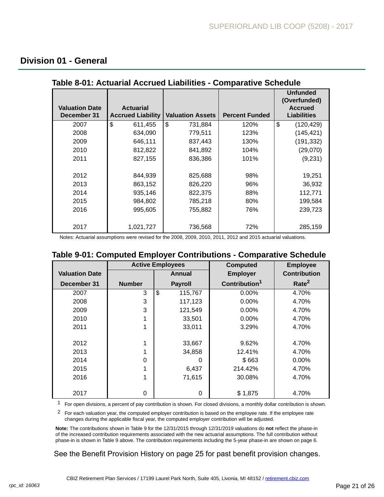### <span id="page-20-0"></span>**Division 01 - General**

| <b>Valuation Date</b><br>December 31 | <b>Actuarial</b><br><b>Accrued Liability</b> | <b>Valuation Assets</b> | <b>Percent Funded</b> | <b>Unfunded</b><br>(Overfunded)<br><b>Accrued</b><br><b>Liabilities</b> |
|--------------------------------------|----------------------------------------------|-------------------------|-----------------------|-------------------------------------------------------------------------|
| 2007                                 | \$<br>611,455                                | \$<br>731,884           | 120%                  | \$<br>(120, 429)                                                        |
| 2008                                 | 634,090                                      | 779,511                 | 123%                  | (145, 421)                                                              |
| 2009                                 | 646,111                                      | 837,443                 | 130%                  | (191, 332)                                                              |
| 2010                                 | 812,822                                      | 841,892                 | 104%                  | (29,070)                                                                |
| 2011                                 | 827,155                                      | 836,386                 | 101%                  | (9,231)                                                                 |
|                                      |                                              |                         |                       |                                                                         |
| 2012                                 | 844,939                                      | 825,688                 | 98%                   | 19,251                                                                  |
| 2013                                 | 863,152                                      | 826,220                 | 96%                   | 36,932                                                                  |
| 2014                                 | 935,146                                      | 822,375                 | 88%                   | 112,771                                                                 |
| 2015                                 | 984,802                                      | 785,218                 | 80%                   | 199,584                                                                 |
| 2016                                 | 995,605                                      | 755,882                 | 76%                   | 239,723                                                                 |
|                                      |                                              |                         |                       |                                                                         |
| 2017                                 | 1,021,727                                    | 736,568                 | 72%                   | 285,159                                                                 |

#### **Table 8-01: Actuarial Accrued Liabilities - Comparative Schedule**

Notes: Actuarial assumptions were revised for the 2008, 2009, 2010, 2011, 2012 and 2015 actuarial valuations.

### **Table 9-01: Computed Employer Contributions - Comparative Schedule**

|                       |               | <b>Active Employees</b> | <b>Computed</b>           | <b>Employee</b>     |
|-----------------------|---------------|-------------------------|---------------------------|---------------------|
| <b>Valuation Date</b> |               | Annual                  | <b>Employer</b>           | <b>Contribution</b> |
| December 31           | <b>Number</b> | <b>Payroll</b>          | Contribution <sup>1</sup> | Rate <sup>2</sup>   |
| 2007                  | 3             | \$<br>115,767           | $0.00\%$                  | 4.70%               |
| 2008                  | 3             | 117,123                 | 0.00%                     | 4.70%               |
| 2009                  | 3             | 121,549                 | $0.00\%$                  | 4.70%               |
| 2010                  |               | 33,501                  | $0.00\%$                  | 4.70%               |
| 2011                  | 1             | 33,011                  | 3.29%                     | 4.70%               |
|                       |               |                         |                           |                     |
| 2012                  | 1             | 33,667                  | 9.62%                     | 4.70%               |
| 2013                  |               | 34,858                  | 12.41%                    | 4.70%               |
| 2014                  | $\Omega$      | 0                       | \$663                     | 0.00%               |
| 2015                  | 1             | 6,437                   | 214.42%                   | 4.70%               |
| 2016                  | 1             | 71,615                  | 30.08%                    | 4.70%               |
|                       |               |                         |                           |                     |
| 2017                  | 0             | 0                       | \$1,875                   | 4.70%               |

1 For open divisions, a percent of pay contribution is shown. For closed divisions, a monthly dollar contribution is shown.

<sup>2</sup> For each valuation year, the computed employer contribution is based on the employee rate. If the employee rate changes during the applicable fiscal year, the computed employer contribution will be adjusted.

**Note:** The contributions shown in Table 9 for the 12/31/2015 through 12/31/2019 valuations do **not** reflect the phase-in of the increased contribution requirements associated with the new actuarial assumptions. The full contribution without phase-in is shown in Table 9 above. The contribution requirements including the 5-year phase-in are shown on page 6.

See the Benefit Provision History on page 25 for past benefit provision changes.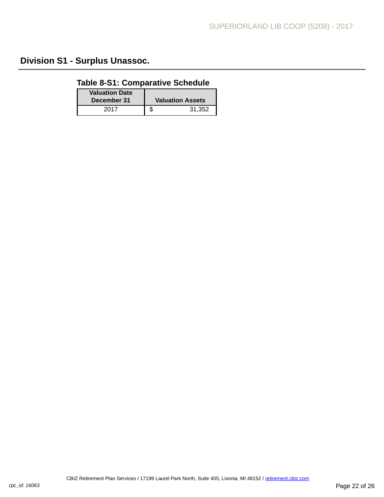# **Division S1 - Surplus Unassoc.**

## **Table 8-S1: Comparative Schedule**

| <b>Valuation Date</b><br>December 31 | <b>Valuation Assets</b> |
|--------------------------------------|-------------------------|
| 2017                                 | 31.352<br>J             |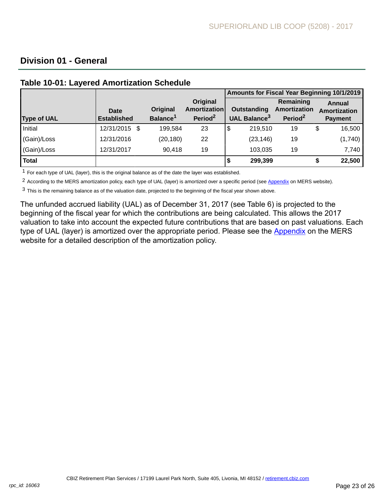## **Division 01 - General**

|                    |                                   |                                  |                                                 |                                         | Amounts for Fiscal Year Beginning 10/1/2019      |                                          |
|--------------------|-----------------------------------|----------------------------------|-------------------------------------------------|-----------------------------------------|--------------------------------------------------|------------------------------------------|
| <b>Type of UAL</b> | <b>Date</b><br><b>Established</b> | Original<br>Balance <sup>1</sup> | Original<br>Amortization<br>Period <sup>2</sup> | Outstanding<br>UAL Balance <sup>3</sup> | Remaining<br>Amortization<br>Period <sup>2</sup> | Annual<br>Amortization<br><b>Payment</b> |
| Initial            | 12/31/2015 \$                     | 199,584                          | 23                                              | \$<br>219,510                           | 19                                               | \$<br>16,500                             |
| (Gain)/Loss        | 12/31/2016                        | (20, 180)                        | 22                                              | (23, 146)                               | 19                                               | (1,740)                                  |
| (Gain)/Loss        | 12/31/2017                        | 90,418                           | 19                                              | 103,035                                 | 19                                               | 7,740                                    |
| <b>Total</b>       |                                   |                                  |                                                 | 299,399                                 |                                                  | 22,500                                   |

## **Table 10-01: Layered Amortization Schedule**

1 For each type of UAL (layer), this is the original balance as of the date the layer was established.

<sup>2</sup> According to the MERS amortization policy, each type of UAL (layer) is amortized over a specific period (see [Appendix](http://www.mersofmich.com/Portals/0/Assets/Resources/AAV-Appendix/MERS-2017AnnualActuarialValuation-Appendix.pdf) on MERS website).

3 This is the remaining balance as of the valuation date, projected to the beginning of the fiscal year shown above.

The unfunded accrued liability (UAL) as of December 31, 2017 (see Table 6) is projected to the beginning of the fiscal year for which the contributions are being calculated. This allows the 2017 valuation to take into account the expected future contributions that are based on past valuations. Each type of UAL (layer) is amortized over the appropriate period. Please see the [Appendix](http://www.mersofmich.com/Portals/0/Assets/Resources/AAV-Appendix/MERS-2017AnnualActuarialValuation-Appendix.pdf) on the MERS website for a detailed description of the amortization policy.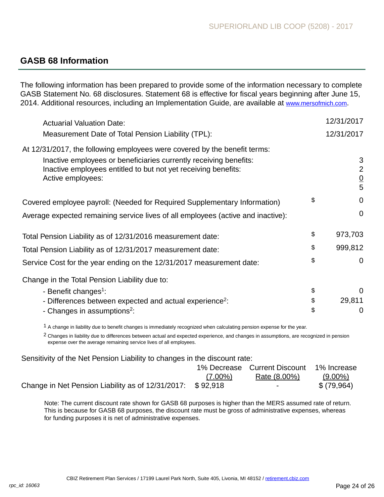## **GASB 68 Information**

The following information has been prepared to provide some of the information necessary to complete GASB Statement No. 68 disclosures. Statement 68 is effective for fiscal years beginning after June 15, 2014. Additional resources, including an Implementation Guide, are available at [www.mersofmich.com](http://www.mersofmich.com).

| <b>Actuarial Valuation Date:</b>                                                                                                                         | 12/31/2017                           |
|----------------------------------------------------------------------------------------------------------------------------------------------------------|--------------------------------------|
| Measurement Date of Total Pension Liability (TPL):                                                                                                       | 12/31/2017                           |
| At 12/31/2017, the following employees were covered by the benefit terms:                                                                                |                                      |
| Inactive employees or beneficiaries currently receiving benefits:<br>Inactive employees entitled to but not yet receiving benefits:<br>Active employees: | 3<br>$\overline{2}$<br>$\frac{0}{5}$ |
| Covered employee payroll: (Needed for Required Supplementary Information)                                                                                | \$<br>$\mathbf 0$                    |
| Average expected remaining service lives of all employees (active and inactive):                                                                         | $\mathbf 0$                          |
| Total Pension Liability as of 12/31/2016 measurement date:                                                                                               | \$<br>973,703                        |
| Total Pension Liability as of 12/31/2017 measurement date:                                                                                               | \$<br>999,812                        |
| Service Cost for the year ending on the 12/31/2017 measurement date:                                                                                     | \$<br>$\mathbf 0$                    |
| Change in the Total Pension Liability due to:                                                                                                            |                                      |
| - Benefit changes <sup>1</sup> :                                                                                                                         | \$<br>$\Omega$                       |
| - Differences between expected and actual experience <sup>2</sup> :                                                                                      | \$<br>29,811                         |
| - Changes in assumptions <sup>2</sup> :                                                                                                                  | \$<br>0                              |

 $1$  A change in liability due to benefit changes is immediately recognized when calculating pension expense for the year.

2 Changes in liability due to differences between actual and expected experience, and changes in assumptions, are recognized in pension expense over the average remaining service lives of all employees.

Sensitivity of the Net Pension Liability to changes in the discount rate:

|                                                               |            | 1% Decrease Current Discount 1% Increase |            |
|---------------------------------------------------------------|------------|------------------------------------------|------------|
|                                                               | $(7.00\%)$ | Rate (8.00%)                             | $(9.00\%)$ |
| Change in Net Pension Liability as of $12/31/2017$ : \$92,918 |            | $\sim$ $\sim$                            | \$(79,964) |

Note: The current discount rate shown for GASB 68 purposes is higher than the MERS assumed rate of return. This is because for GASB 68 purposes, the discount rate must be gross of administrative expenses, whereas for funding purposes it is net of administrative expenses.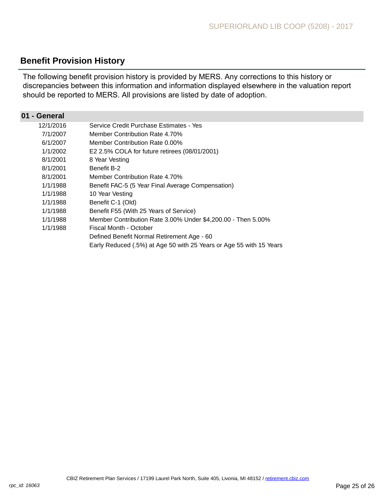## **Benefit Provision History**

The following benefit provision history is provided by MERS. Any corrections to this history or discrepancies between this information and information displayed elsewhere in the valuation report should be reported to MERS. All provisions are listed by date of adoption.

| 01 - General |                                                                     |
|--------------|---------------------------------------------------------------------|
| 12/1/2016    | Service Credit Purchase Estimates - Yes                             |
| 7/1/2007     | Member Contribution Rate 4.70%                                      |
| 6/1/2007     | Member Contribution Rate 0.00%                                      |
| 1/1/2002     | E2 2.5% COLA for future retirees (08/01/2001)                       |
| 8/1/2001     | 8 Year Vesting                                                      |
| 8/1/2001     | <b>Benefit B-2</b>                                                  |
| 8/1/2001     | Member Contribution Rate 4.70%                                      |
| 1/1/1988     | Benefit FAC-5 (5 Year Final Average Compensation)                   |
| 1/1/1988     | 10 Year Vesting                                                     |
| 1/1/1988     | Benefit C-1 (Old)                                                   |
| 1/1/1988     | Benefit F55 (With 25 Years of Service)                              |
| 1/1/1988     | Member Contribution Rate 3.00% Under \$4,200.00 - Then 5.00%        |
| 1/1/1988     | Fiscal Month - October                                              |
|              | Defined Benefit Normal Retirement Age - 60                          |
|              | Early Reduced (.5%) at Age 50 with 25 Years or Age 55 with 15 Years |